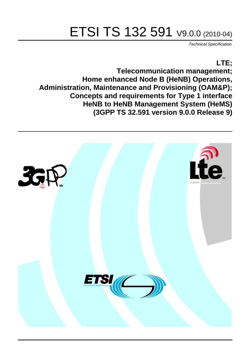# ETSI TS 132 591 V9.0.0 (2010-04)

*Technical Specification*

### **LTE;**

**Telecommunication management; Home enhanced Node B (HeNB) Operations, Administration, Maintenance and Provisioning (OAM&P); Concepts and requirements for Type 1 interface HeNB to HeNB Management System (HeMS) (3GPP TS 32.591 version 9.0.0 Release 9)**

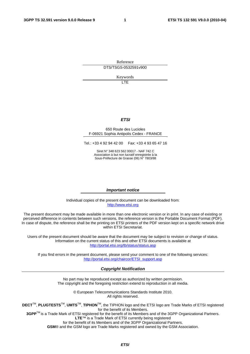Reference DTS/TSGS-0532591v900

Keywords

 $\overline{1}$ 

#### *ETSI*

#### 650 Route des Lucioles F-06921 Sophia Antipolis Cedex - FRANCE

Tel.: +33 4 92 94 42 00 Fax: +33 4 93 65 47 16

Siret N° 348 623 562 00017 - NAF 742 C Association à but non lucratif enregistrée à la Sous-Préfecture de Grasse (06) N° 7803/88

#### *Important notice*

Individual copies of the present document can be downloaded from: [http://www.etsi.org](http://www.etsi.org/)

The present document may be made available in more than one electronic version or in print. In any case of existing or perceived difference in contents between such versions, the reference version is the Portable Document Format (PDF). In case of dispute, the reference shall be the printing on ETSI printers of the PDF version kept on a specific network drive within ETSI Secretariat.

Users of the present document should be aware that the document may be subject to revision or change of status. Information on the current status of this and other ETSI documents is available at <http://portal.etsi.org/tb/status/status.asp>

If you find errors in the present document, please send your comment to one of the following services: [http://portal.etsi.org/chaircor/ETSI\\_support.asp](http://portal.etsi.org/chaircor/ETSI_support.asp)

#### *Copyright Notification*

No part may be reproduced except as authorized by written permission. The copyright and the foregoing restriction extend to reproduction in all media.

> © European Telecommunications Standards Institute 2010. All rights reserved.

**DECT**TM, **PLUGTESTS**TM, **UMTS**TM, **TIPHON**TM, the TIPHON logo and the ETSI logo are Trade Marks of ETSI registered for the benefit of its Members.

**3GPP**TM is a Trade Mark of ETSI registered for the benefit of its Members and of the 3GPP Organizational Partners. **LTE**™ is a Trade Mark of ETSI currently being registered

for the benefit of its Members and of the 3GPP Organizational Partners.

**GSM**® and the GSM logo are Trade Marks registered and owned by the GSM Association.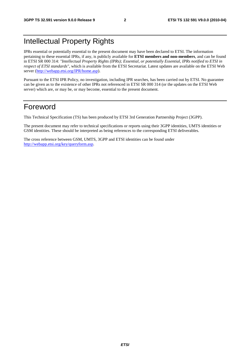## Intellectual Property Rights

IPRs essential or potentially essential to the present document may have been declared to ETSI. The information pertaining to these essential IPRs, if any, is publicly available for **ETSI members and non-members**, and can be found in ETSI SR 000 314: *"Intellectual Property Rights (IPRs); Essential, or potentially Essential, IPRs notified to ETSI in respect of ETSI standards"*, which is available from the ETSI Secretariat. Latest updates are available on the ETSI Web server [\(http://webapp.etsi.org/IPR/home.asp\)](http://webapp.etsi.org/IPR/home.asp).

Pursuant to the ETSI IPR Policy, no investigation, including IPR searches, has been carried out by ETSI. No guarantee can be given as to the existence of other IPRs not referenced in ETSI SR 000 314 (or the updates on the ETSI Web server) which are, or may be, or may become, essential to the present document.

### Foreword

This Technical Specification (TS) has been produced by ETSI 3rd Generation Partnership Project (3GPP).

The present document may refer to technical specifications or reports using their 3GPP identities, UMTS identities or GSM identities. These should be interpreted as being references to the corresponding ETSI deliverables.

The cross reference between GSM, UMTS, 3GPP and ETSI identities can be found under [http://webapp.etsi.org/key/queryform.asp.](http://webapp.etsi.org/key/queryform.asp)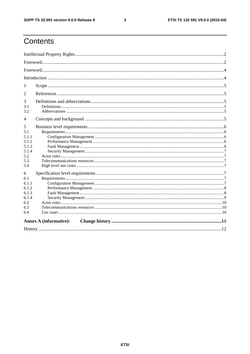$\mathbf{3}$ 

# Contents

| 1                             |  |  |  |  |  |  |  |
|-------------------------------|--|--|--|--|--|--|--|
| $\overline{2}$                |  |  |  |  |  |  |  |
| 3<br>3.1<br>3.2               |  |  |  |  |  |  |  |
| 4                             |  |  |  |  |  |  |  |
| 5                             |  |  |  |  |  |  |  |
| 5.1                           |  |  |  |  |  |  |  |
| 5.1.1                         |  |  |  |  |  |  |  |
| 5.1.2                         |  |  |  |  |  |  |  |
| 5.1.3                         |  |  |  |  |  |  |  |
| 5.1.4                         |  |  |  |  |  |  |  |
| 5.2                           |  |  |  |  |  |  |  |
| 5.3                           |  |  |  |  |  |  |  |
| 5.4                           |  |  |  |  |  |  |  |
| 6                             |  |  |  |  |  |  |  |
| 6.1                           |  |  |  |  |  |  |  |
| 6.1.1                         |  |  |  |  |  |  |  |
| 6.1.2                         |  |  |  |  |  |  |  |
| 6.1.3                         |  |  |  |  |  |  |  |
| 6.1.4                         |  |  |  |  |  |  |  |
| 6.2                           |  |  |  |  |  |  |  |
| 6.3                           |  |  |  |  |  |  |  |
| 6.4                           |  |  |  |  |  |  |  |
| <b>Annex A (informative):</b> |  |  |  |  |  |  |  |
|                               |  |  |  |  |  |  |  |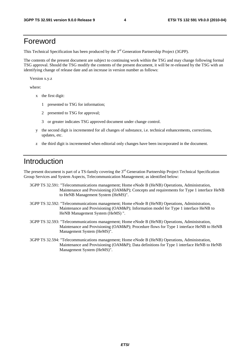### Foreword

This Technical Specification has been produced by the 3<sup>rd</sup> Generation Partnership Project (3GPP).

The contents of the present document are subject to continuing work within the TSG and may change following formal TSG approval. Should the TSG modify the contents of the present document, it will be re-released by the TSG with an identifying change of release date and an increase in version number as follows:

Version x.y.z

where:

- x the first digit:
	- 1 presented to TSG for information;
	- 2 presented to TSG for approval;
	- 3 or greater indicates TSG approved document under change control.
- y the second digit is incremented for all changes of substance, i.e. technical enhancements, corrections, updates, etc.
- z the third digit is incremented when editorial only changes have been incorporated in the document.

### Introduction

The present document is part of a TS-family covering the  $3<sup>rd</sup>$  Generation Partnership Project Technical Specification Group Services and System Aspects, Telecommunication Management; as identified below:

- 3GPP TS 32.591: "Telecommunications management; Home eNode B (HeNB) Operations, Administration, Maintenance and Provisioning (OAM&P); Concepts and requirements for Type 1 interface HeNB to HeNB Management System (HeMS)".
- 3GPP TS 32.592: "Telecommunications management; Home eNode B (HeNB) Operations, Administration, Maintenance and Provisioning (OAM&P); Information model for Type 1 interface HeNB to HeNB Management System (HeMS) ".
- 3GPP TS 32.593: "Telecommunications management; Home eNode B (HeNB) Operations, Administration, Maintenance and Provisioning (OAM&P); Procedure flows for Type 1 interface HeNB to HeNB Management System (HeMS)".
- 3GPP TS 32.594: "Telecommunications management; Home eNode B (HeNB) Operations, Administration, Maintenance and Provisioning (OAM&P); Data definitions for Type 1 interface HeNB to HeNB Management System (HeMS)".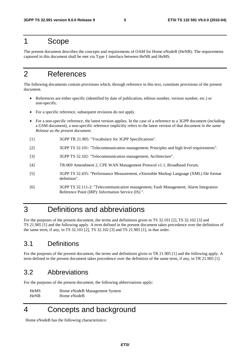### 1 Scope

The present document describes the concepts and requirements of OAM for Home eNodeB (HeNB). The requirements captured in this document shall be met via Type 1 interface between HeNB and HeMS.

### 2 References

The following documents contain provisions which, through reference in this text, constitute provisions of the present document.

- References are either specific (identified by date of publication, edition number, version number, etc.) or non-specific.
- For a specific reference, subsequent revisions do not apply.
- For a non-specific reference, the latest version applies. In the case of a reference to a 3GPP document (including a GSM document), a non-specific reference implicitly refers to the latest version of that document *in the same Release as the present document*.
- [1] 3GPP TR 21.905: "Vocabulary for 3GPP Specifications".
- [2] 3GPP TS 32.101: "Telecommunication management; Principles and high level requirements".
- [3] 3GPP TS 32.102: "Telecommunication management; Architecture".
- [4] TR-069 Amendment 2, CPE WAN Management Protocol v1.1, Broadband Forum.
- [5] 3GPP TS 32.435: "Performance Measurement, eXtensible Markup Language (XML) file format definition".
- [6] 3GPP TS 32.111-2: "Telecommunication management; Fault Management; Alarm Integration Reference Point (IRP): Information Service (IS) ".

### 3 Definitions and abbreviations

For the purposes of the present document, the terms and definitions given in TS 32.101 [2], TS 32.102 [3] and TS 21.905 [1] and the following apply. A term defined in the present document takes precedence over the definition of the same term, if any, in TS 32.101 [2], TS 32.102 [3] and TS 21.905 [1], in that order.

### 3.1 Definitions

For the purposes of the present document, the terms and definitions given in TR 21.905 [1] and the following apply. A term defined in the present document takes precedence over the definition of the same term, if any, in TR 21.905 [1].

### 3.2 Abbreviations

For the purposes of the present document, the following abbreviations apply:

HeMS Home eNodeB Management System HeNB Home eNodeB

4 Concepts and background

Home eNodeB has the following characteristics: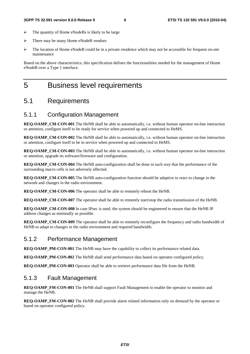- $\triangleright$  The quantity of Home eNodeBs is likely to be large
- > There may be many Home eNodeB vendors
- $\triangleright$  The location of Home eNodeB could be in a private residence which may not be accessible for frequent on-site maintenance

Based on the above characteristics, this specification defines the functionalities needed for the management of Home eNodeB over a Type 1 interface.

### 5 Business level requirements

#### 5.1 Requirements

### 5.1.1 Configuration Management

**REO-OAMP\_CM-CON-001** The HeNB shall be able to automatically, i.e. without human operator on-line interaction or attention, configure itself to be ready for service when powered up and connected to HeMS.

**REQ-OAMP\_CM-CON-002** The HeNB shall be able to automatically, i.e. without human operator on-line interaction or attention, configure itself to be in service when powered up and connected to HeMS.

**REQ-OAMP\_CM-CON-003** The HeNB shall be able to automatically, i.e. without human operator on-line interaction or attention, upgrade its software/firmware and configuration.

**REQ-OAMP\_CM-CON-004** The HeNB auto-configuration shall be done in such way that the performance of the surrounding macro cells is not adversely affected.

**REQ-OAMP\_CM-CON-005** The HeNB auto-configuration function should be adaptive to react to change in the network and changes in the radio environment.

**REQ-OAMP\_CM-CON-006** The operator shall be able to remotely reboot the HeNB.

**REQ-OAMP\_CM-CON-007** The operator shall be able to remotely start/stop the radio transmission of the HeNB.

**REQ-OAMP\_CM-CON-008** In case IPsec is used, the system should be engineered to ensure that the HeNB IP address changes as minimally as possible.

**REQ-OAMP\_CM-CON-009** The operator shall be able to remotely reconfigure the frequency and radio bandwidth of HeNB to adapt to changes in the radio environment and required bandwidth.

#### 5.1.2 Performance Management

**REQ-OAMP\_PM-CON-001** The HeNB may have the capability to collect its performance related data.

**REQ-OAMP\_PM-CON-002** The HeNB shall send performance data based on operator configured policy.

**REQ-OAMP\_PM-CON-003** Operator shall be able to retrieve performance data file from the HeNB.

#### 5.1.3 Fault Management

**REQ-OAMP\_FM-CON-001** The HeNB shall support Fault Management to enable the operator to monitor and manage the HeNB.

**REQ-OAMP\_FM-CON-002** The HeNB shall provide alarm related information only on demand by the operator or based on operator configured policy.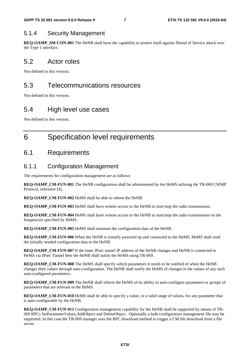#### 5.1.4 Security Management

**REQ-OAMP\_SM-CON-001** The HeNB shall have the capability to protect itself against Denial of Service attack over the Type 1 interface.

### 5.2 Actor roles

Not defined in this version.

### 5.3 Telecommunications resources

Not defined in this version.

### 5.4 High level use cases

Not defined in this version.

## 6 Specification level requirements

### 6.1 Requirements

#### 6.1.1 Configuration Management

The requirements for configuration management are as follows:

**REO-OAMP\_CM-FUN-001** The HeNB configuration shall be administered by the HeMS utilising the TR-069 CWMP Protocol, reference [4].

**REQ-OAMP\_CM-FUN-002** HeMS shall be able to reboot the HeNB.

**REQ-OAMP\_CM-FUN-003** HeMS shall have remote access to the HeNB to start/stop the radio transmission.

**REQ-OAMP\_CM-FUN-004** HeMS shall have remote access to the HeNB to start/stop the radio transmission on the frequencies specified by HeMS.

**REQ-OAMP\_CM-FUN-005** HeMS shall maintain the configuration data of the HeNB.

**REQ-OAMP\_CM-FUN-006** When the HeNB is initially powered up and connected to the HeMS, HeMS shall send the initially needed configuration data to the HeNB.

**REQ-OAMP\_CM-FUN-007** If the inner IPsec tunnel IP address of the HeNB changes and HeNB is connected to HeMS via IPsec Tunnel then the HeNB shall notify the HeMS using TR-069.

**REQ-OAMP\_CM-FUN-008** The HeMS shall specify which parameters it needs to be notified of when the HeNB changes their values through auto-configuration. The HeNB shall notify the HeMS of changes in the values of any such auto-configured parameters.

**REQ-OAMP\_CM-FUN-009** The HeNB shall inform the HeMS of its ability to auto-configure parameters or groups of parameters that are relevant to the HeMS.

**REQ-OAMP\_CM-FUN-010** HeMS shall be able to specify a value, or a valid range of values, for any parameter that is auto-configurable by the HeNB.

**REQ-OAMP\_CM-FUN-011** Configuration management capability for the HeNB shall be supported by means of TR-069 RPCs SetParameterValues,AddObject and DeleteObject . Optionally a bulk configuration management file may be supported. In this case the TR-069 manager uses the RPC download method to trigger a CM file download from a file server.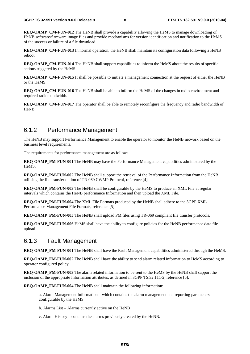**REQ-OAMP\_CM-FUN-012** The HeNB shall provide a capability allowing the HeMS to manage downloading of HeNB software/firmware image files and provide mechanisms for version identification and notification to the HeMS of the success or failure of a file download.

**REQ-OAMP\_CM-FUN-013** In normal operation, the HeNB shall maintain its configuration data following a HeNB reboot.

**REQ-OAMP\_CM-FUN-014** The HeNB shall support capabilities to inform the HeMS about the results of specific actions triggered by the HeMS.

**REQ-OAMP\_CM-FUN-015** It shall be possible to initiate a management connection at the request of either the HeNB or the HeMS.

**REQ-OAMP\_CM-FUN-016** The HeNB shall be able to inform the HeMS of the changes in radio environment and required radio bandwidth.

**REQ-OAMP\_CM-FUN-017** The operator shall be able to remotely reconfigure the frequency and radio bandwidth of HeNB.

#### 6.1.2 Performance Management

The HeNB may support Performance Management to enable the operator to monitor the HeNB network based on the business level requirements.

The requirements for performance management are as follows.

**REQ-OAMP\_PM-FUN-001** The HeNB may have the Performance Management capabilities administered by the HeMS.

**REQ-OAMP\_PM-FUN-002** The HeNB shall support the retrieval of the Performance Information from the HeNB utilising the file transfer option of TR-069 CWMP Protocol, reference [4].

**REQ-OAMP\_PM-FUN-003** The HeNB shall be configurable by the HeMS to produce an XML File at regular intervals which contains the HeNB performance Information and then upload the XML File.

**REQ-OAMP\_PM-FUN-004** The XML File Formats produced by the HeNB shall adhere to the 3GPP XML Performance Management File Formats, reference [5].

**REO-OAMP\_PM-FUN-005** The HeNB shall upload PM files using TR-069 compliant file transfer protocols.

**REQ-OAMP\_PM-FUN-006** HeMS shall have the ability to configure policies for the HeNB performance data file upload.

#### 6.1.3 Fault Management

**REQ-OAMP\_FM-FUN-001** The HeNB shall have the Fault Management capabilities administered through the HeMS.

**REQ-OAMP\_FM-FUN-002** The HeNB shall have the ability to send alarm related information to HeMS according to operator configured policy.

**REQ-OAMP\_FM-FUN-003** The alarm related information to be sent to the HeMS by the HeNB shall support the inclusion of the appropriate Information attributes, as defined in 3GPP TS.32.111-2, reference [6].

**REQ-OAMP\_FM-FUN-004** The HeNB shall maintain the following information:

a. Alarm Management Information – which contains the alarm management and reporting parameters configurable by the HeMS

b. Alarms List – Alarms currently active on the HeNB

c. Alarm History – contains the alarms previously created by the HeNB.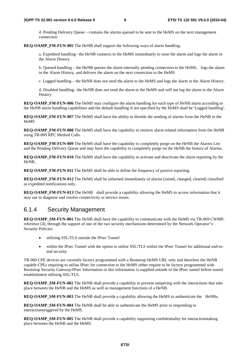d. Pending Delivery Queue – contains the alarms queued to be sent to the HeMS on the next management connection

**REQ-OAMP\_FM-FUN-005** The HeNB shall support the following ways of alarm handling:

a. Expedited handling– the HeNB connects to the HeMS immediately to raise the alarm and logs the alarm in the Alarm History.

b. Queued handling – the HeNB queues the alarm internally pending connection to the HeMS, logs the alarm in the Alarm History, and delivers the alarm on the next connection to the HeMS

c. Logged handling – the HeNB does not send the alarm to the HeMS and logs the alarm in the Alarm History.

d. Disabled handling– the HeNB does not send the alarm to the HeMS and will not log the alarm in the Alarm History

**REQ-OAMP\_FM-FUN-006** The HeMS may configure the alarm handling for each type of HeNB alarm according to the HeNB alarm handling capabilities and the default handling if not specified by the HeMS shall be 'Logged handling'.

**REQ-OAMP\_FM-FUN-007** The HeMS shall have the ability to throttle the sending of alarms from the HeNB to the HeMS

**REQ-OAMP\_FM-FUN-008** The HeMS shall have the capability to retrieve alarm related information from the HeNB using TR-069 RPC Method Calls.

**REQ-OAMP\_FM-FUN-009** The HeMS shall have the capability to completely purge on the HeNB the Alarms List and the Pending Delivery Queue and may have the capability to completely purge on the HeNB the history of Alarms.

**REQ-OAMP\_FM-FUN-010** The HeMS shall have the capability to activate and deactivate the alarm reporting by the HeNB.

**REQ-OAMP\_FM-FUN-011** The HeMS shall be able to define the frequency of passive reporting.

**REQ-OAMP\_FM-FUN-012** The HeMS shall be informed immediately of alarms (raised, changed, cleared) classified as expedited notifications only.

**REO-OAMP\_FM-FUN-013** The HeNB shall provide a capability allowing the HeMS to access information that it may use to diagnose and resolve connectivity or service issues.

#### 6.1.4 Security Management

**REO-OAMP\_SM-FUN-001.**The HeNB shall have the capability to communicate with the HeMS via TR-069 CWMP. reference [4], through the support of one of the two security mechanisms determined by the Network Operator"s Security Policies:

- utilising SSL/TLS outside the IPsec Tunnel
- within the IPsec Tunnel with the option to utilise SSL/TLS within the IPsec Tunnel for additional end-toend security

TR-069 CPE devices are currently factory programmed with a Bootstrap HeMS URL only and therefore the HeNB capable CPEs requiring to utilise IPsec for connection to the HeMS either require to be factory programmed with Bootstrap Security Gateway/IPsec Information or this information is supplied outside of the IPsec tunnel before tunnel establishment utilising SSL/TLS.

**REQ-OAMP\_SM-FUN-002** The HeNB shall provide a capability to prevent tampering with the interactions that take place between the HeNB and the HeMS as well as management functions of a HeNB.

**REQ-OAMP\_SM-FUN-003** The HeNB shall provide a capability allowing the HeMS to authenticate the HeNBs.

**REQ-OAMP\_SM-FUN-004** The HeNB shall be able to authenticate the HeMS prior to responding to interactionstriggered by the HeMS.

**REQ-OAMP\_SM-FUN-005** The HeNB shall provide a capability supporting confidentiality for interactionstaking place between the HeNB and the HeMS.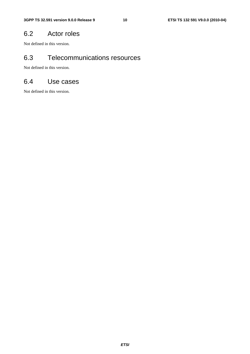### 6.2 Actor roles

Not defined in this version.

### 6.3 Telecommunications resources

Not defined in this version.

### 6.4 Use cases

Not defined in this version.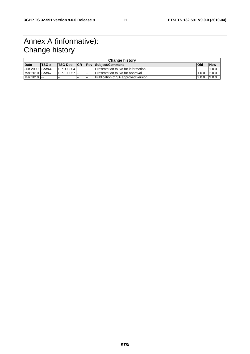# Annex A (informative): Change history

| <b>Change history</b> |             |                 |       |               |                                      |            |            |  |  |
|-----------------------|-------------|-----------------|-------|---------------|--------------------------------------|------------|------------|--|--|
| <b>Date</b>           | <b>TSG#</b> | <b>TSG Doc.</b> | ICR   |               | <b>Rev Subiect/Comment</b>           | <b>Old</b> | <b>New</b> |  |  |
| Jun 2009 SA#44        |             | SP-090304       |       | $\sim$        | I Presentation to SA for information | .          | 1.0.0      |  |  |
| Mar 2010 SA#47        |             | SP-100057       |       | $\sim$        | Presentation to SA for approval      | 1.0.0      | 2.0.0      |  |  |
| Mar 2010 --           |             | $\sim$ $\sim$   | $- -$ | $\sim$ $\sim$ | Publication of SA approved version   | 2.0.0      | 9.0.0      |  |  |